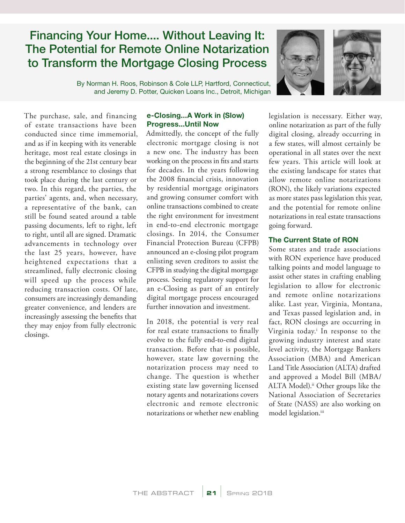# Financing Your Home.... Without Leaving It: The Potential for Remote Online Notarization to Transform the Mortgage Closing Process

By Norman H. Roos, Robinson & Cole LLP, Hartford, Connecticut, and Jeremy D. Potter, Quicken Loans Inc., Detroit, Michigan



The purchase, sale, and financing of estate transactions have been conducted since time immemorial, and as if in keeping with its venerable heritage, most real estate closings in the beginning of the 21st century bear a strong resemblance to closings that took place during the last century or two. In this regard, the parties, the parties' agents, and, when necessary, a representative of the bank, can still be found seated around a table passing documents, left to right, left to right, until all are signed. Dramatic advancements in technology over the last 25 years, however, have heightened expectations that a streamlined, fully electronic closing will speed up the process while reducing transaction costs. Of late, consumers are increasingly demanding greater convenience, and lenders are increasingly assessing the benefits that they may enjoy from fully electronic closings.

### e-Closing...A Work in (Slow) Progress...Until Now

Admittedly, the concept of the fully electronic mortgage closing is not a new one. The industry has been working on the process in fits and starts for decades. In the years following the 2008 financial crisis, innovation by residential mortgage originators and growing consumer comfort with online transactions combined to create the right environment for investment in end-to-end electronic mortgage closings. In 2014, the Consumer Financial Protection Bureau (CFPB) announced an e-closing pilot program enlisting seven creditors to assist the CFPB in studying the digital mortgage process. Seeing regulatory support for an e-Closing as part of an entirely digital mortgage process encouraged further innovation and investment.

In 2018, the potential is very real for real estate transactions to finally evolve to the fully end-to-end digital transaction. Before that is possible, however, state law governing the notarization process may need to change. The question is whether existing state law governing licensed notary agents and notarizations covers electronic and remote electronic notarizations or whether new enabling

legislation is necessary. Either way, online notarization as part of the fully digital closing, already occurring in a few states, will almost certainly be operational in all states over the next few years. This article will look at the existing landscape for states that allow remote online notarizations (RON), the likely variations expected as more states pass legislation this year, and the potential for remote online notarizations in real estate transactions going forward.

# The Current State of RON

Some states and trade associations with RON experience have produced talking points and model language to assist other states in crafting enabling legislation to allow for electronic and remote online notarizations alike. Last year, Virginia, Montana, and Texas passed legislation and, in fact, RON closings are occurring in Virginia today.i In response to the growing industry interest and state level activity, the Mortgage Bankers Association (MBA) and American Land Title Association (ALTA) drafted and approved a Model Bill (MBA/ ALTA Model).<sup>ii</sup> Other groups like the National Association of Secretaries of State (NASS) are also working on model legislation.<sup>iii</sup>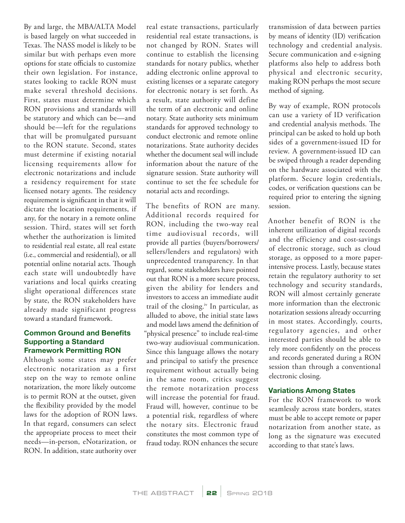By and large, the MBA/ALTA Model is based largely on what succeeded in Texas. The NASS model is likely to be similar but with perhaps even more options for state officials to customize their own legislation. For instance, states looking to tackle RON must make several threshold decisions. First, states must determine which RON provisions and standards will be statutory and which can be—and should be—left for the regulations that will be promulgated pursuant to the RON statute. Second, states must determine if existing notarial licensing requirements allow for electronic notarizations and include a residency requirement for state licensed notary agents. The residency requirement is significant in that it will dictate the location requirements, if any, for the notary in a remote online session. Third, states will set forth whether the authorization is limited to residential real estate, all real estate (i.e., commercial and residential), or all potential online notarial acts. Though each state will undoubtedly have variations and local quirks creating slight operational differences state by state, the RON stakeholders have already made significant progress toward a standard framework.

## Common Ground and Benefits Supporting a Standard Framework Permitting RON

Although some states may prefer electronic notarization as a first step on the way to remote online notarization, the more likely outcome is to permit RON at the outset, given the flexibility provided by the model laws for the adoption of RON laws. In that regard, consumers can select the appropriate process to meet their needs—in-person, eNotarization, or RON. In addition, state authority over

real estate transactions, particularly residential real estate transactions, is not changed by RON. States will continue to establish the licensing standards for notary publics, whether adding electronic online approval to existing licenses or a separate category for electronic notary is set forth. As a result, state authority will define the term of an electronic and online notary. State authority sets minimum standards for approved technology to conduct electronic and remote online notarizations. State authority decides whether the document seal will include information about the nature of the signature session. State authority will continue to set the fee schedule for notarial acts and recordings.

The benefits of RON are many. Additional records required for RON, including the two-way real time audiovisual records, will provide all parties (buyers/borrowers/ sellers/lenders and regulators) with unprecedented transparency. In that regard, some stakeholders have pointed out that RON is a more secure process, given the ability for lenders and investors to access an immediate audit trail of the closing.iv In particular, as alluded to above, the initial state laws and model laws amend the definition of "physical presence" to include real-time two-way audiovisual communication. Since this language allows the notary and principal to satisfy the presence requirement without actually being in the same room, critics suggest the remote notarization process will increase the potential for fraud. Fraud will, however, continue to be a potential risk, regardless of where the notary sits. Electronic fraud constitutes the most common type of fraud today. RON enhances the secure

transmission of data between parties by means of identity (ID) verification technology and credential analysis. Secure communication and e-signing platforms also help to address both physical and electronic security, making RON perhaps the most secure method of signing.

By way of example, RON protocols can use a variety of ID verification and credential analysis methods. The principal can be asked to hold up both sides of a government-issued ID for review. A government-issued ID can be swiped through a reader depending on the hardware associated with the platform. Secure login credentials, codes, or verification questions can be required prior to entering the signing session.

Another benefit of RON is the inherent utilization of digital records and the efficiency and cost-savings of electronic storage, such as cloud storage, as opposed to a more paperintensive process. Lastly, because states retain the regulatory authority to set technology and security standards, RON will almost certainly generate more information than the electronic notarization sessions already occurring in most states. Accordingly, courts, regulatory agencies, and other interested parties should be able to rely more confidently on the process and records generated during a RON session than through a conventional electronic closing.

## Variations Among States

For the RON framework to work seamlessly across state borders, states must be able to accept remote or paper notarization from another state, as long as the signature was executed according to that state's laws.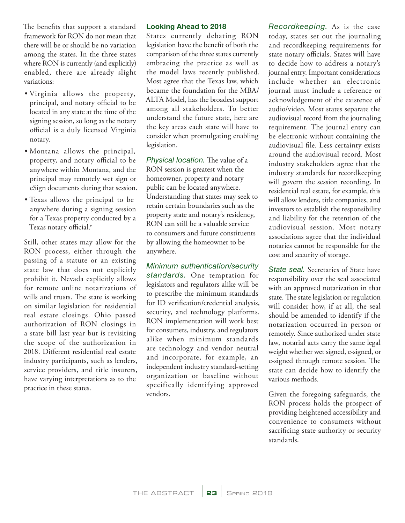The benefits that support a standard framework for RON do not mean that there will be or should be no variation among the states. In the three states where RON is currently (and explicitly) enabled, there are already slight variations:

- Virginia allows the property, principal, and notary official to be located in any state at the time of the signing session, so long as the notary official is a duly licensed Virginia notary.
- Montana allows the principal, property, and notary official to be anywhere within Montana, and the principal may remotely wet sign or eSign documents during that session.
- Texas allows the principal to be anywhere during a signing session for a Texas property conducted by a Texas notary official.<sup>v</sup>

Still, other states may allow for the RON process, either through the passing of a statute or an existing state law that does not explicitly prohibit it. Nevada explicitly allows for remote online notarizations of wills and trusts. The state is working on similar legislation for residential real estate closings. Ohio passed authorization of RON closings in a state bill last year but is revisiting the scope of the authorization in 2018. Different residential real estate industry participants, such as lenders, service providers, and title insurers, have varying interpretations as to the practice in these states.

#### Looking Ahead to 2018

States currently debating RON legislation have the benefit of both the comparison of the three states currently embracing the practice as well as the model laws recently published. Most agree that the Texas law, which became the foundation for the MBA/ ALTA Model, has the broadest support among all stakeholders. To better understand the future state, here are the key areas each state will have to consider when promulgating enabling legislation.

*Physical location.* The value of a RON session is greatest when the homeowner, property and notary public can be located anywhere. Understanding that states may seek to retain certain boundaries such as the property state and notary's residency, RON can still be a valuable service to consumers and future constituents by allowing the homeowner to be anywhere.

*Minimum authentication/security standards.* One temptation for legislators and regulators alike will be to prescribe the minimum standards for ID verification/credential analysis, security, and technology platforms. RON implementation will work best for consumers, industry, and regulators alike when minimum standards are technology and vendor neutral and incorporate, for example, an independent industry standard-setting organization or baseline without specifically identifying approved vendors.

*Recordkeeping.* As is the case today, states set out the journaling and recordkeeping requirements for state notary officials. States will have to decide how to address a notary's journal entry. Important considerations include whether an electronic journal must include a reference or acknowledgement of the existence of audio/video. Most states separate the audiovisual record from the journaling requirement. The journal entry can be electronic without containing the audiovisual file. Less certainty exists around the audiovisual record. Most industry stakeholders agree that the industry standards for recordkeeping will govern the session recording. In residential real estate, for example, this will allow lenders, title companies, and investors to establish the responsibility and liability for the retention of the audiovisual session. Most notary associations agree that the individual notaries cannot be responsible for the cost and security of storage.

*State seal.* Secretaries of State have responsibility over the seal associated with an approved notarization in that state. The state legislation or regulation will consider how, if at all, the seal should be amended to identify if the notarization occurred in person or remotely. Since authorized under state law, notarial acts carry the same legal weight whether wet signed, e-signed, or e-signed through remote session. The state can decide how to identify the various methods.

Given the foregoing safeguards, the RON process holds the prospect of providing heightened accessibility and convenience to consumers without sacrificing state authority or security standards.